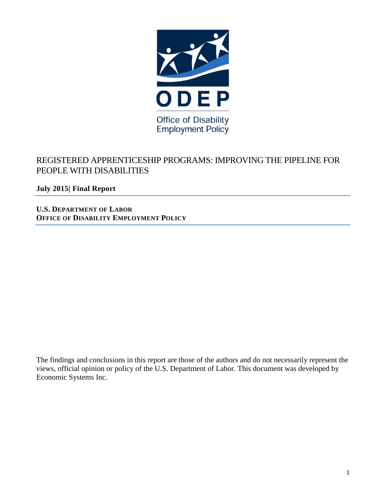

# REGISTERED APPRENTICESHIP PROGRAMS: IMPROVING THE PIPELINE FOR PEOPLE WITH DISABILITIES

**July 2015| Final Report** 

**U.S. DEPARTMENT OF LABOR OFFICE OF DISABILITY EMPLOYMENT POLICY**

The findings and conclusions in this report are those of the authors and do not necessarily represent the views, official opinion or policy of the U.S. Department of Labor. This document was developed by Economic Systems Inc.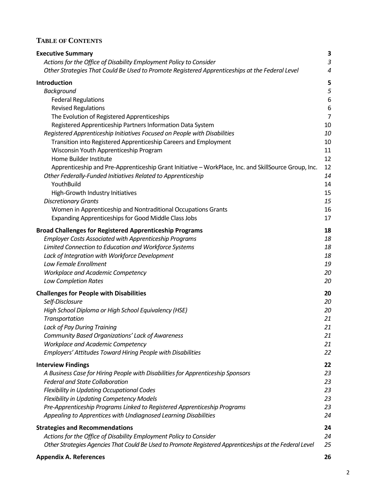# **TABLE OF CONTENTS**

| <b>Executive Summary</b>                                                                                | 3              |
|---------------------------------------------------------------------------------------------------------|----------------|
| Actions for the Office of Disability Employment Policy to Consider                                      | $\mathfrak{Z}$ |
| Other Strategies That Could Be Used to Promote Registered Apprenticeships at the Federal Level          | 4              |
| Introduction                                                                                            | 5              |
| <b>Background</b>                                                                                       | 5              |
| <b>Federal Regulations</b>                                                                              | 6              |
| <b>Revised Regulations</b>                                                                              | 6              |
| The Evolution of Registered Apprenticeships                                                             | $\overline{7}$ |
| Registered Apprenticeship Partners Information Data System                                              | 10             |
| Registered Apprenticeship Initiatives Focused on People with Disabilities                               | 10             |
| Transition into Registered Apprenticeship Careers and Employment                                        | 10             |
| Wisconsin Youth Apprenticeship Program                                                                  | 11             |
| Home Builder Institute                                                                                  | 12             |
| Apprenticeship and Pre-Apprenticeship Grant Initiative - WorkPlace, Inc. and SkillSource Group, Inc.    | 12             |
| Other Federally-Funded Initiatives Related to Apprenticeship                                            | 14             |
| YouthBuild                                                                                              | 14             |
| High-Growth Industry Initiatives                                                                        | 15             |
| <b>Discretionary Grants</b>                                                                             | 15             |
| Women in Apprenticeship and Nontraditional Occupations Grants                                           | 16             |
| <b>Expanding Apprenticeships for Good Middle Class Jobs</b>                                             | 17             |
| <b>Broad Challenges for Registered Apprenticeship Programs</b>                                          | 18             |
| <b>Employer Costs Associated with Apprenticeship Programs</b>                                           | 18             |
| Limited Connection to Education and Workforce Systems                                                   | 18             |
| Lack of Integration with Workforce Development                                                          | 18             |
| Low Female Enrollment                                                                                   | 19             |
| Workplace and Academic Competency                                                                       | 20             |
| <b>Low Completion Rates</b>                                                                             | 20             |
| <b>Challenges for People with Disabilities</b>                                                          | 20             |
| Self-Disclosure                                                                                         | 20             |
| High School Diploma or High School Equivalency (HSE)                                                    | 20             |
| Transportation                                                                                          | 21             |
| Lack of Pay During Training                                                                             | 21             |
| Community Based Organizations' Lack of Awareness                                                        | 21             |
| <b>Workplace and Academic Competency</b>                                                                | 21             |
| Employers' Attitudes Toward Hiring People with Disabilities                                             | 22             |
| <b>Interview Findings</b>                                                                               | 22             |
| A Business Case for Hiring People with Disabilities for Apprenticeship Sponsors                         | 23             |
| <b>Federal and State Collaboration</b>                                                                  | 23             |
| Flexibility in Updating Occupational Codes                                                              | 23             |
| <b>Flexibility in Updating Competency Models</b>                                                        | 23             |
| Pre-Apprenticeship Programs Linked to Registered Apprenticeship Programs                                | 23             |
| Appealing to Apprentices with Undiagnosed Learning Disabilities                                         | 24             |
|                                                                                                         | 24             |
| <b>Strategies and Recommendations</b>                                                                   | 24             |
| Actions for the Office of Disability Employment Policy to Consider                                      | 25             |
| Other Strategies Agencies That Could Be Used to Promote Registered Apprenticeships at the Federal Level |                |
| <b>Appendix A. References</b>                                                                           | 26             |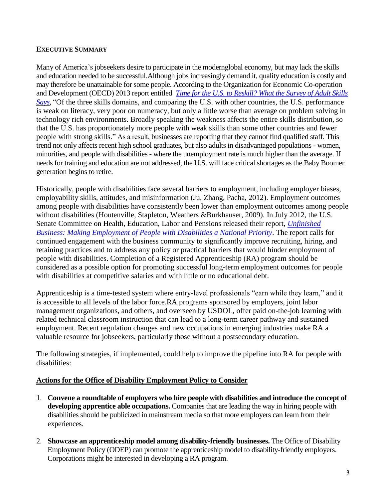#### <span id="page-2-0"></span>**EXECUTIVE SUMMARY**

Many of America's jobseekers desire to participate in the modernglobal economy, but may lack the skills and education needed to be successful.Although jobs increasingly demand it, quality education is costly and may therefore be unattainable for some people. According to the Organization for Economic Co-operation and Development (OECD) 2013 report entitled *[Time for the U.S. to Reskill? What the Survey of Adult Skills](http://skills.oecd.org/Survey_of_Adult_Skills_US.pdf) Says*, "Of the three skills domains, and comparing the U.S. with other countries, the U.S. performance is weak on literacy, very poor on numeracy, but only a little worse than average on problem solving in technology rich environments. Broadly speaking the weakness affects the entire skills distribution, so that the U.S. has proportionately more people with weak skills than some other countries and fewer people with strong skills." As a result, businesses are reporting that they cannot find qualified staff. This trend not only affects recent high school graduates, but also adults in disadvantaged populations - women, minorities, and people with disabilities - where the unemployment rate is much higher than the average. If needs for training and education are not addressed, the U.S. will face critical shortages as the Baby Boomer generation begins to retire.

Historically, people with disabilities face several barriers to employment, including employer biases, employability skills, attitudes, and misinformation (Ju, Zhang, Pacha, 2012). Employment outcomes among people with disabilities have consistently been lower than employment outcomes among people without disabilities (Houtenville, Stapleton, Weathers &Burkhauser, 2009). In July 2012, the U.S. Senate Committee on Health, Education, Labor and Pensions released their report, *[Unfinished](http://www.ct.gov/dds/lib/dds/community/cms_guidance_around_sheltered_workshops.pdf)  [Business: Making Employment of People with Disabilities a National Priority](http://www.ct.gov/dds/lib/dds/community/cms_guidance_around_sheltered_workshops.pdf)*. The report calls for continued engagement with the business community to significantly improve recruiting, hiring, and retaining practices and to address any policy or practical barriers that would hinder employment of people with disabilities. Completion of a Registered Apprenticeship (RA) program should be considered as a possible option for promoting successful long-term employment outcomes for people with disabilities at competitive salaries and with little or no educational debt.

Apprenticeship is a time-tested system where entry-level professionals "earn while they learn," and it is accessible to all levels of the labor force.RA programs sponsored by employers, joint labor management organizations, and others, and overseen by USDOL, offer paid on-the-job learning with related technical classroom instruction that can lead to a long-term career pathway and sustained employment. Recent regulation changes and new occupations in emerging industries make RA a valuable resource for jobseekers, particularly those without a postsecondary education.

The following strategies, if implemented, could help to improve the pipeline into RA for people with disabilities:

#### **Actions for the Office of Disability Employment Policy to Consider**

- 1. **Convene a roundtable of employers who hire people with disabilities and introduce the concept of developing apprentice able occupations.** Companies that are leading the way in hiring people with disabilities should be publicized in mainstream media so that more employers can learn from their experiences.
- 2. **Showcase an apprenticeship model among disability-friendly businesses.** The Office of Disability Employment Policy (ODEP) can promote the apprenticeship model to disability-friendly employers. Corporations might be interested in developing a RA program.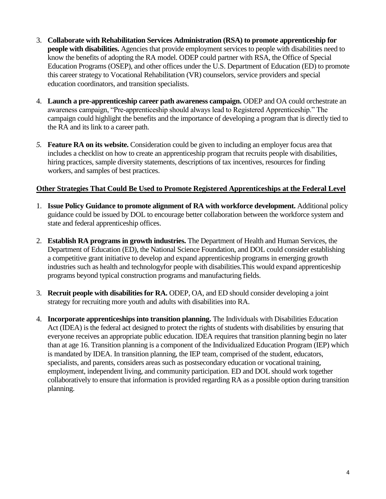- <span id="page-3-0"></span>3. **Collaborate with Rehabilitation Services Administration (RSA) to promote apprenticeship for people with disabilities.** Agencies that provide employment services to people with disabilities need to know the benefits of adopting the RA model. ODEP could partner with RSA, the Office of Special Education Programs (OSEP), and other offices under the U.S. Department of Education (ED) to promote this career strategy to Vocational Rehabilitation (VR) counselors, service providers and special education coordinators, and transition specialists.
- 4. **Launch a pre-apprenticeship career path awareness campaign.** ODEP and OA could orchestrate an awareness campaign, "Pre-apprenticeship should always lead to Registered Apprenticeship." The campaign could highlight the benefits and the importance of developing a program that is directly tied to the RA and its link to a career path.
- *5.* **Feature RA on its website.** Consideration could be given to including an employer focus area that includes a checklist on how to create an apprenticeship program that recruits people with disabilities, hiring practices, sample diversity statements, descriptions of tax incentives, resources for finding workers, and samples of best practices.

### **Other Strategies That Could Be Used to Promote Registered Apprenticeships at the Federal Level**

- 1. **Issue Policy Guidance to promote alignment of RA with workforce development.** Additional policy guidance could be issued by DOL to encourage better collaboration between the workforce system and state and federal apprenticeship offices.
- 2. **Establish RA programs in growth industries.** The Department of Health and Human Services, the Department of Education (ED), the National Science Foundation, and DOL could consider establishing a competitive grant initiative to develop and expand apprenticeship programs in emerging growth industries such as health and technologyfor people with disabilities.This would expand apprenticeship programs beyond typical construction programs and manufacturing fields.
- 3. **Recruit people with disabilities for RA.** ODEP, OA, and ED should consider developing a joint strategy for recruiting more youth and adults with disabilities into RA.
- 4. **Incorporate apprenticeships into transition planning.** The Individuals with Disabilities Education Act (IDEA) is the federal act designed to protect the rights of students with disabilities by ensuring that everyone receives an appropriate public education. IDEA requires that transition planning begin no later than at age 16. Transition planning is a component of the Individualized Education Program (IEP) which is mandated by IDEA. In transition planning, the IEP team, comprised of the student, educators, specialists, and parents, considers areas such as postsecondary education or vocational training, employment, independent living, and community participation. ED and DOL should work together collaboratively to ensure that information is provided regarding RA as a possible option during transition planning.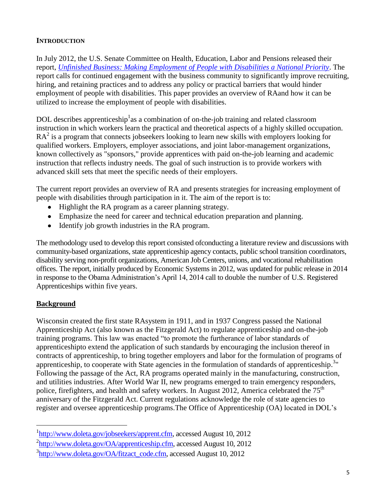### <span id="page-4-0"></span>**INTRODUCTION**

In July 2012, the U.S. Senate Committee on Health, Education, Labor and Pensions released their report, *[Unfinished Business: Making Employment of People with Disabilities a National Priority](http://www.ct.gov/dds/lib/dds/community/cms_guidance_around_sheltered_workshops.pdf)*. The report calls for continued engagement with the business community to significantly improve recruiting, hiring, and retaining practices and to address any policy or practical barriers that would hinder employment of people with disabilities. This paper provides an overview of RAand how it can be utilized to increase the employment of people with disabilities.

DOL describes apprenticeship<sup>1</sup> as a combination of on-the-job training and related classroom instruction in which workers learn the practical and theoretical aspects of a highly skilled occupation. RA<sup>2</sup> is a program that connects jobseekers looking to learn new skills with employers looking for qualified workers. Employers, employer associations, and joint labor-management organizations, known collectively as "sponsors," provide apprentices with paid on-the-job learning and academic instruction that reflects industry needs. The goal of such instruction is to provide workers with advanced skill sets that meet the specific needs of their employers.

The current report provides an overview of RA and presents strategies for increasing employment of people with disabilities through participation in it. The aim of the report is to:

- Highlight the RA program as a career planning strategy.
- Emphasize the need for career and technical education preparation and planning.
- Identify job growth industries in the RA program.

The methodology used to develop this report consisted ofconducting a literature review and discussions with community-based organizations, state apprenticeship agency contacts, public school transition coordinators, disability serving non-profit organizations, American Job Centers, unions, and vocational rehabilitation offices. The report, initially produced by Economic Systems in 2012, was updated for public release in 2014 in response to the Obama Administration's April 14, 2014 call to double the number of U.S. Registered Apprenticeships within five years.

# **Background**

 $\overline{a}$ 

Wisconsin created the first state RAsystem in 1911, and in 1937 Congress passed the National Apprenticeship Act (also known as the Fitzgerald Act) to regulate apprenticeship and on-the-job training programs. This law was enacted "to promote the furtherance of labor standards of apprenticeshipto extend the application of such standards by encouraging the inclusion thereof in contracts of apprenticeship, to bring together employers and labor for the formulation of programs of apprenticeship, to cooperate with State agencies in the formulation of standards of apprenticeship.<sup>3</sup>" Following the passage of the Act, RA programs operated mainly in the manufacturing, construction, and utilities industries. After World War II, new programs emerged to train emergency responders, police, firefighters, and health and safety workers. In August 2012, America celebrated the  $75<sup>th</sup>$ anniversary of the Fitzgerald Act. Current regulations acknowledge the role of state agencies to register and oversee apprenticeship programs.The Office of Apprenticeship (OA) located in DOL's

<sup>&</sup>lt;sup>1</sup>[http://www.doleta.gov/jobseekers/apprent.cfm,](http://www.doleta.gov/jobseekers/apprent.cfm) accessed August 10, 2012

<sup>&</sup>lt;sup>2</sup>[http://www.doleta.gov/OA/apprenticeship.cfm,](http://www.doleta.gov/OA/apprenticeship.cfm) accessed August 10, 2012

<sup>&</sup>lt;sup>3</sup>[http://www.doleta.gov/OA/fitzact\\_code.cfm,](http://www.doleta.gov/OA/fitzact_code.cfm) accessed August 10, 2012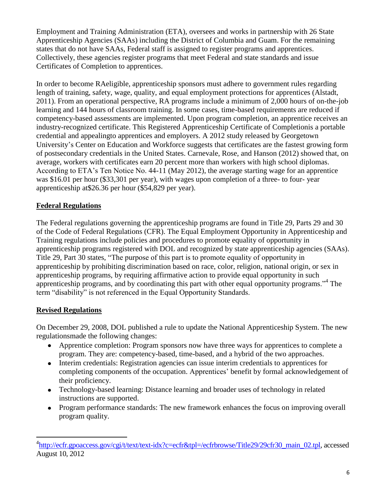<span id="page-5-0"></span>Employment and Training Administration (ETA), oversees and works in partnership with 26 State Apprenticeship Agencies (SAAs) including the District of Columbia and Guam. For the remaining states that do not have SAAs, Federal staff is assigned to register programs and apprentices. Collectively, these agencies register programs that meet Federal and state standards and issue Certificates of Completion to apprentices.

In order to become RAeligible, apprenticeship sponsors must adhere to government rules regarding length of training, safety, wage, quality, and equal employment protections for apprentices (Alstadt, 2011). From an operational perspective, RA programs include a minimum of 2,000 hours of on-the-job learning and 144 hours of classroom training. In some cases, time-based requirements are reduced if competency-based assessments are implemented. Upon program completion, an apprentice receives an industry-recognized certificate. This Registered Apprenticeship Certificate of Completionis a portable credential and appealingto apprentices and employers. A 2012 study released by Georgetown University's Center on Education and Workforce suggests that certificates are the fastest growing form of postsecondary credentials in the United States. Carnevale, Rose, and Hanson (2012) showed that, on average, workers with certificates earn 20 percent more than workers with high school diplomas. According to ETA's Ten Notice No. 44-11 (May 2012), the average starting wage for an apprentice was \$16.01 per hour (\$33,301 per year), with wages upon completion of a three- to four- year apprenticeship at\$26.36 per hour (\$54,829 per year).

# **Federal Regulations**

The Federal regulations governing the apprenticeship programs are found in Title 29, Parts 29 and 30 of the Code of Federal Regulations (CFR). The Equal Employment Opportunity in Apprenticeship and Training regulations include policies and procedures to promote equality of opportunity in apprenticeship programs registered with DOL and recognized by state apprenticeship agencies (SAAs). Title 29, Part 30 states, "The purpose of this part is to promote equality of opportunity in apprenticeship by prohibiting discrimination based on race, color, religion, national origin, or sex in apprenticeship programs, by requiring affirmative action to provide equal opportunity in such apprenticeship programs, and by coordinating this part with other equal opportunity programs."<sup>4</sup> The term "disability" is not referenced in the Equal Opportunity Standards.

# **Revised Regulations**

 $\overline{a}$ 

On December 29, 2008, DOL published a rule to update the National Apprenticeship System. The new regulationsmade the following changes:

- Apprentice completion: Program sponsors now have three ways for apprentices to complete a program. They are: competency-based, time-based, and a hybrid of the two approaches.
- Interim credentials: Registration agencies can issue interim credentials to apprentices for completing components of the occupation. Apprentices' benefit by formal acknowledgement of their proficiency.
- Technology-based learning: Distance learning and broader uses of technology in related instructions are supported.
- Program performance standards: The new framework enhances the focus on improving overall program quality.

<sup>&</sup>lt;sup>4</sup>[http://ecfr.gpoaccess.gov/cgi/t/text/text-idx?c=ecfr&tpl=/ecfrbrowse/Title29/29cfr30\\_main\\_02.tpl,](http://ecfr.gpoaccess.gov/cgi/t/text/text-idx?c=ecfr&tpl=/ecfrbrowse/Title29/29cfr30_main_02.tpl) accessed August 10, 2012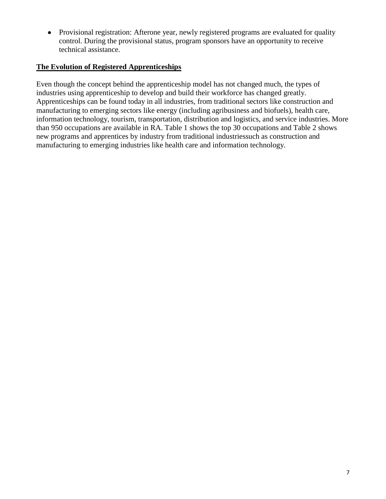<span id="page-6-0"></span>• Provisional registration: Afterone year, newly registered programs are evaluated for quality control. During the provisional status, program sponsors have an opportunity to receive technical assistance.

### **The Evolution of Registered Apprenticeships**

Even though the concept behind the apprenticeship model has not changed much, the types of industries using apprenticeship to develop and build their workforce has changed greatly. Apprenticeships can be found today in all industries, from traditional sectors like construction and manufacturing to emerging sectors like energy (including agribusiness and biofuels), health care, information technology, tourism, transportation, distribution and logistics, and service industries. More than 950 occupations are available in RA. Table 1 shows the top 30 occupations and Table 2 shows new programs and apprentices by industry from traditional industriessuch as construction and manufacturing to emerging industries like health care and information technology.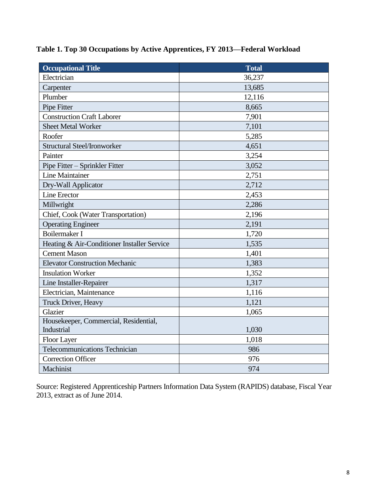| <b>Occupational Title</b>                   | <b>Total</b> |
|---------------------------------------------|--------------|
| Electrician                                 | 36,237       |
| Carpenter                                   | 13,685       |
| Plumber                                     | 12,116       |
| Pipe Fitter                                 | 8,665        |
| <b>Construction Craft Laborer</b>           | 7,901        |
| <b>Sheet Metal Worker</b>                   | 7,101        |
| Roofer                                      | 5,285        |
| <b>Structural Steel/Ironworker</b>          | 4,651        |
| Painter                                     | 3,254        |
| Pipe Fitter - Sprinkler Fitter              | 3,052        |
| <b>Line Maintainer</b>                      | 2,751        |
| Dry-Wall Applicator                         | 2,712        |
| Line Erector                                | 2,453        |
| Millwright                                  | 2,286        |
| Chief, Cook (Water Transportation)          | 2,196        |
| <b>Operating Engineer</b>                   | 2,191        |
| <b>Boilermaker I</b>                        | 1,720        |
| Heating & Air-Conditioner Installer Service | 1,535        |
| <b>Cement Mason</b>                         | 1,401        |
| <b>Elevator Construction Mechanic</b>       | 1,383        |
| <b>Insulation Worker</b>                    | 1,352        |
| Line Installer-Repairer                     | 1,317        |
| Electrician, Maintenance                    | 1,116        |
| Truck Driver, Heavy                         | 1,121        |
| Glazier                                     | 1,065        |
| Housekeeper, Commercial, Residential,       |              |
| Industrial                                  | 1,030        |
| Floor Layer                                 | 1,018        |
| <b>Telecommunications Technician</b>        | 986          |
| <b>Correction Officer</b>                   | 976          |
| Machinist                                   | 974          |

# **Table 1. Top 30 Occupations by Active Apprentices, FY 2013—Federal Workload**

Source: Registered Apprenticeship Partners Information Data System (RAPIDS) database, Fiscal Year 2013, extract as of June 2014.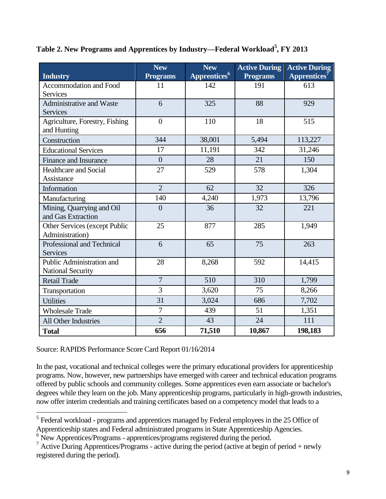| Table 2. New Programs and Apprentices by Industry—Federal Workload <sup>5</sup> , FY 2013 |  |  |
|-------------------------------------------------------------------------------------------|--|--|
|                                                                                           |  |  |

| <b>Industry</b>                                       | <b>New</b><br><b>Programs</b> | <b>New</b><br>Apprentices <sup>6</sup> | <b>Active During</b><br><b>Programs</b> | <b>Active During</b><br>$\overline{\mathbf{Apprentices}}^7$ |
|-------------------------------------------------------|-------------------------------|----------------------------------------|-----------------------------------------|-------------------------------------------------------------|
| Accommodation and Food<br><b>Services</b>             | 11                            | 142                                    | 191                                     | 613                                                         |
| Administrative and Waste<br>Services                  | 6                             | 325                                    | 88                                      | 929                                                         |
| Agriculture, Forestry, Fishing<br>and Hunting         | $\overline{0}$                | 110                                    | 18                                      | 515                                                         |
| Construction                                          | 344                           | 38,001                                 | 5,494                                   | 113,227                                                     |
| <b>Educational Services</b>                           | 17                            | 11,191                                 | 342                                     | 31,246                                                      |
| Finance and Insurance                                 | $\overline{0}$                | 28                                     | 21                                      | 150                                                         |
| Healthcare and Social<br>Assistance                   | 27                            | 529                                    | 578                                     | 1,304                                                       |
| Information                                           | $\overline{2}$                | 62                                     | 32                                      | 326                                                         |
| Manufacturing                                         | 140                           | 4,240                                  | 1,973                                   | 13,796                                                      |
| Mining, Quarrying and Oil<br>and Gas Extraction       | $\overline{0}$                | 36                                     | 32                                      | 221                                                         |
| Other Services (except Public<br>Administration)      | 25                            | 877                                    | 285                                     | 1,949                                                       |
| Professional and Technical<br><b>Services</b>         | 6                             | 65                                     | 75                                      | 263                                                         |
| Public Administration and<br><b>National Security</b> | 28                            | 8,268                                  | 592                                     | 14,415                                                      |
| <b>Retail Trade</b>                                   | $\overline{7}$                | 510                                    | 310                                     | 1,799                                                       |
| Transportation                                        | $\overline{3}$                | 3,620                                  | 75                                      | 8,266                                                       |
| <b>Utilities</b>                                      | 31                            | 3,024                                  | 686                                     | 7,702                                                       |
| <b>Wholesale Trade</b>                                | $\overline{7}$                | 439                                    | 51                                      | 1,351                                                       |
| All Other Industries                                  | $\overline{2}$                | 43                                     | 24                                      | 111                                                         |
| <b>Total</b>                                          | 656                           | 71,510                                 | 10,867                                  | 198,183                                                     |

Source: RAPIDS Performance Score Card Report 01/16/2014

In the past, vocational and technical colleges were the primary educational providers for apprenticeship programs. Now, however, new partnerships have emerged with career and technical education programs offered by public schools and community colleges. Some apprentices even earn associate or bachelor's degrees while they learn on the job. Many apprenticeship programs, particularly in high-growth industries, now offer interim credentials and training certificates based on a competency model that leads to a

<sup>&</sup>lt;sup>5</sup><br><sup>5</sup> Federal workload - programs and apprentices managed by Federal employees in the 25 Office of Apprenticeship states and Federal administrated programs in State Apprenticeship Agencies.

<sup>&</sup>lt;sup>6</sup> New Apprentices/Programs - apprentices/programs registered during the period.

 $\frac{1}{2}$  Active During Apprentices/Programs - active during the period (active at begin of period + newly registered during the period).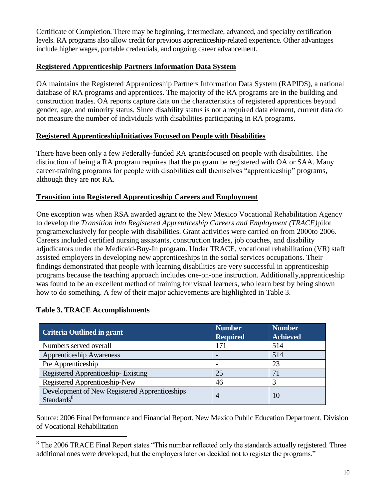<span id="page-9-0"></span>Certificate of Completion. There may be beginning, intermediate, advanced, and specialty certification levels. RA programs also allow credit for previous apprenticeship-related experience. Other advantages include higher wages, portable credentials, and ongoing career advancement.

### **Registered Apprenticeship Partners Information Data System**

OA maintains the Registered Apprenticeship Partners Information Data System (RAPIDS), a national database of RA programs and apprentices. The majority of the RA programs are in the building and construction trades. OA reports capture data on the characteristics of registered apprentices beyond gender, age, and minority status. Since disability status is not a required data element, current data do not measure the number of individuals with disabilities participating in RA programs.

### **Registered ApprenticeshipInitiatives Focused on People with Disabilities**

There have been only a few Federally-funded RA grantsfocused on people with disabilities. The distinction of being a RA program requires that the program be registered with OA or SAA. Many career-training programs for people with disabilities call themselves "apprenticeship" programs, although they are not RA.

# **Transition into Registered Apprenticeship Careers and Employment**

One exception was when RSA awarded agrant to the New Mexico Vocational Rehabilitation Agency to develop the *Transition into Registered Apprenticeship Careers and Employment (TRACE)*pilot programexclusively for people with disabilities. Grant activities were carried on from 2000to 2006. Careers included certified nursing assistants, construction trades, job coaches, and disability adjudicators under the Medicaid-Buy-In program. Under TRACE, vocational rehabilitation (VR) staff assisted employers in developing new apprenticeships in the social services occupations. Their findings demonstrated that people with learning disabilities are very successful in apprenticeship programs because the teaching approach includes one-on-one instruction. Additionally,apprenticeship was found to be an excellent method of training for visual learners, who learn best by being shown how to do something. A few of their major achievements are highlighted in Table 3.

### **Table 3. TRACE Accomplishments**

 $\overline{a}$ 

| <b>Criteria Outlined in grant</b>                                       | <b>Number</b><br><b>Required</b> | <b>Number</b><br><b>Achieved</b> |
|-------------------------------------------------------------------------|----------------------------------|----------------------------------|
| Numbers served overall                                                  | 171                              | 514                              |
| <b>Apprenticeship Awareness</b>                                         |                                  | 514                              |
| Pre Apprenticeship                                                      |                                  | 23                               |
| Registered Apprenticeship-Existing                                      | 25                               |                                  |
| Registered Apprenticeship-New                                           | 46                               |                                  |
| Development of New Registered Apprenticeships<br>Standards <sup>8</sup> | $\overline{4}$                   | 10                               |

Source: 2006 Final Performance and Financial Report, New Mexico Public Education Department, Division of Vocational Rehabilitation

 $8$  The 2006 TRACE Final Report states "This number reflected only the standards actually registered. Three additional ones were developed, but the employers later on decided not to register the programs."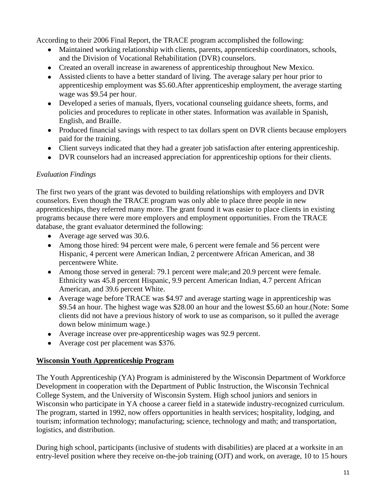<span id="page-10-0"></span>According to their 2006 Final Report, the TRACE program accomplished the following:

- Maintained working relationship with clients, parents, apprenticeship coordinators, schools, and the Division of Vocational Rehabilitation (DVR) counselors.
- Created an overall increase in awareness of apprenticeship throughout New Mexico.
- Assisted clients to have a better standard of living. The average salary per hour prior to apprenticeship employment was \$5.60.After apprenticeship employment, the average starting wage was \$9.54 per hour.
- Developed a series of manuals, flyers, vocational counseling guidance sheets, forms, and policies and procedures to replicate in other states. Information was available in Spanish, English, and Braille.
- Produced financial savings with respect to tax dollars spent on DVR clients because employers paid for the training.
- Client surveys indicated that they had a greater job satisfaction after entering apprenticeship.
- DVR counselors had an increased appreciation for apprenticeship options for their clients.

### *Evaluation Findings*

The first two years of the grant was devoted to building relationships with employers and DVR counselors. Even though the TRACE program was only able to place three people in new apprenticeships, they referred many more. The grant found it was easier to place clients in existing programs because there were more employers and employment opportunities. From the TRACE database, the grant evaluator determined the following:

- Average age served was 30.6.
- Among those hired: 94 percent were male, 6 percent were female and 56 percent were Hispanic, 4 percent were American Indian, 2 percentwere African American, and 38 percentwere White.
- Among those served in general: 79.1 percent were male;and 20.9 percent were female. Ethnicity was 45.8 percent Hispanic, 9.9 percent American Indian, 4.7 percent African American, and 39.6 percent White.
- Average wage before TRACE was \$4.97 and average starting wage in apprenticeship was \$9.54 an hour. The highest wage was \$28.00 an hour and the lowest \$5.60 an hour.(Note: Some clients did not have a previous history of work to use as comparison, so it pulled the average down below minimum wage.)
- Average increase over pre-apprenticeship wages was 92.9 percent.
- Average cost per placement was \$376.

# **Wisconsin Youth Apprenticeship Program**

The Youth Apprenticeship (YA) Program is administered by the Wisconsin Department of Workforce Development in cooperation with the Department of Public Instruction, the Wisconsin Technical College System, and the University of Wisconsin System. High school juniors and seniors in Wisconsin who participate in YA choose a career field in a statewide industry-recognized curriculum. The program, started in 1992, now offers opportunities in health services; hospitality, lodging, and tourism; information technology; manufacturing; science, technology and math; and transportation, logistics, and distribution.

During high school, participants (inclusive of students with disabilities) are placed at a worksite in an entry-level position where they receive on-the-job training (OJT) and work, on average, 10 to 15 hours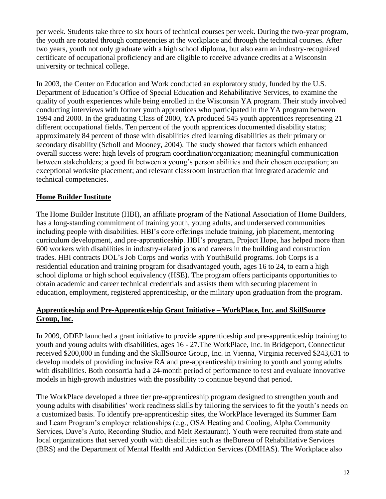<span id="page-11-0"></span>per week. Students take three to six hours of technical courses per week. During the two-year program, the youth are rotated through competencies at the workplace and through the technical courses. After two years, youth not only graduate with a high school diploma, but also earn an industry-recognized certificate of occupational proficiency and are eligible to receive advance credits at a Wisconsin university or technical college.

In 2003, the Center on Education and Work conducted an exploratory study, funded by the U.S. Department of Education's Office of Special Education and Rehabilitative Services, to examine the quality of youth experiences while being enrolled in the Wisconsin YA program. Their study involved conducting interviews with former youth apprentices who participated in the YA program between 1994 and 2000. In the graduating Class of 2000, YA produced 545 youth apprentices representing 21 different occupational fields. Ten percent of the youth apprentices documented disability status; approximately 84 percent of those with disabilities cited learning disabilities as their primary or secondary disability (Scholl and Mooney, 2004). The study showed that factors which enhanced overall success were: high levels of program coordination/organization; meaningful communication between stakeholders; a good fit between a young's person abilities and their chosen occupation; an exceptional worksite placement; and relevant classroom instruction that integrated academic and technical competencies.

# **Home Builder Institute**

The Home Builder Institute (HBI), an affiliate program of the National Association of Home Builders, has a long-standing commitment of training youth, young adults, and underserved communities including people with disabilities. HBI's core offerings include training, job placement, mentoring curriculum development, and pre-apprenticeship. HBI's program, Project Hope, has helped more than 600 workers with disabilities in industry-related jobs and careers in the building and construction trades. HBI contracts DOL's Job Corps and works with YouthBuild programs. Job Corps is a residential education and training program for disadvantaged youth, ages 16 to 24, to earn a high school diploma or high school equivalency (HSE). The program offers participants opportunities to obtain academic and career technical credentials and assists them with securing placement in education, employment, registered apprenticeship, or the military upon graduation from the program.

### **Apprenticeship and Pre-Apprenticeship Grant Initiative – WorkPlace, Inc. and SkillSource Group, Inc.**

In 2009, ODEP launched a grant initiative to provide apprenticeship and pre-apprenticeship training to youth and young adults with disabilities, ages 16 - 27.The WorkPlace, Inc. in Bridgeport, Connecticut received \$200,000 in funding and the SkillSource Group, Inc. in Vienna, Virginia received \$243,631 to develop models of providing inclusive RA and pre-apprenticeship training to youth and young adults with disabilities. Both consortia had a 24-month period of performance to test and evaluate innovative models in high-growth industries with the possibility to continue beyond that period.

The WorkPlace developed a three tier pre-apprenticeship program designed to strengthen youth and young adults with disabilities' work readiness skills by tailoring the services to fit the youth's needs on a customized basis. To identify pre-apprenticeship sites, the WorkPlace leveraged its Summer Earn and Learn Program's employer relationships (e.g., OSA Heating and Cooling, Alpha Community Services, Dave's Auto, Recording Studio, and Melt Restaurant). Youth were recruited from state and local organizations that served youth with disabilities such as theBureau of Rehabilitative Services (BRS) and the Department of Mental Health and Addiction Services (DMHAS). The Workplace also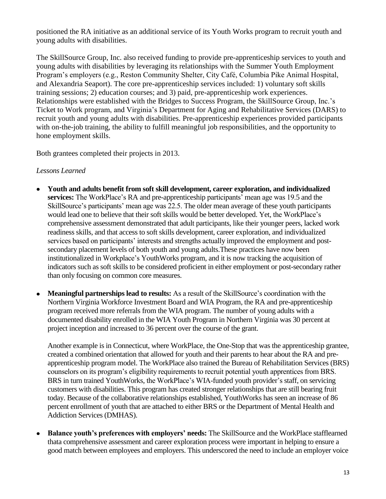positioned the RA initiative as an additional service of its Youth Works program to recruit youth and young adults with disabilities.

The SkillSource Group, Inc. also received funding to provide pre-apprenticeship services to youth and young adults with disabilities by leveraging its relationships with the Summer Youth Employment Program's employers (e.g., Reston Community Shelter, City Café, Columbia Pike Animal Hospital, and Alexandria Seaport). The core pre-apprenticeship services included: 1) voluntary soft skills training sessions; 2) education courses; and 3) paid, pre-apprenticeship work experiences. Relationships were established with the Bridges to Success Program, the SkillSource Group, Inc.'s Ticket to Work program, and Virginia's Department for Aging and Rehabilitative Services (DARS) to recruit youth and young adults with disabilities. Pre-apprenticeship experiences provided participants with on-the-job training, the ability to fulfill meaningful job responsibilities, and the opportunity to hone employment skills.

Both grantees completed their projects in 2013.

### *Lessons Learned*

- **Youth and adults benefit from soft skill development, career exploration, and individualized**   $\bullet$ **services:** The WorkPlace's RA and pre-apprenticeship participants' mean age was 19.5 and the SkillSource's participants' mean age was 22.5. The older mean average of these youth participants would lead one to believe that their soft skills would be better developed. Yet, the WorkPlace's comprehensive assessment demonstrated that adult participants, like their younger peers, lacked work readiness skills, and that access to soft skills development, career exploration, and individualized services based on participants' interests and strengths actually improved the employment and postsecondary placement levels of both youth and young adults.These practices have now been institutionalized in Workplace's YouthWorks program, and it is now tracking the acquisition of indicators such as soft skills to be considered proficient in either employment or post-secondary rather than only focusing on common core measures.
- **Meaningful partnerships lead to results:** As a result of the SkillSource's coordination with the Northern Virginia Workforce Investment Board and WIA Program, the RA and pre-apprenticeship program received more referrals from the WIA program. The number of young adults with a documented disability enrolled in the WIA Youth Program in Northern Virginia was 30 percent at project inception and increased to 36 percent over the course of the grant.

Another example is in Connecticut, where WorkPlace, the One-Stop that was the apprenticeship grantee, created a combined orientation that allowed for youth and their parents to hear about the RA and preapprenticeship program model. The WorkPlace also trained the Bureau of Rehabilitation Services (BRS) counselors on its program's eligibility requirements to recruit potential youth apprentices from BRS. BRS in turn trained YouthWorks, the WorkPlace's WIA-funded youth provider's staff, on servicing customers with disabilities. This program has created stronger relationships that are still bearing fruit today. Because of the collaborative relationships established, YouthWorks has seen an increase of 86 percent enrollment of youth that are attached to either BRS or the Department of Mental Health and Addiction Services (DMHAS).

**Balance youth's preferences with employers' needs:** The SkillSource and the WorkPlace stafflearned  $\bullet$ thata comprehensive assessment and career exploration process were important in helping to ensure a good match between employees and employers. This underscored the need to include an employer voice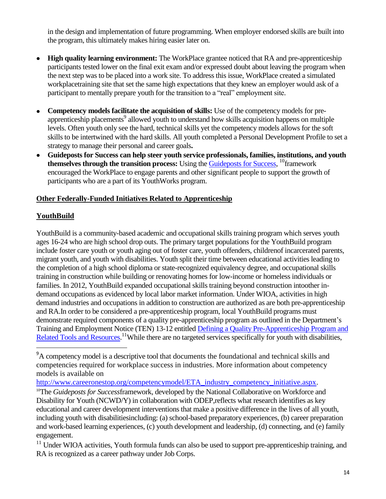<span id="page-13-0"></span>in the design and implementation of future programming. When employer endorsed skills are built into the program, this ultimately makes hiring easier later on.

- **High quality learning environment:** The WorkPlace grantee noticed that RA and pre-apprenticeship participants tested lower on the final exit exam and/or expressed doubt about leaving the program when the next step was to be placed into a work site. To address this issue, WorkPlace created a simulated workplacetraining site that set the same high expectations that they knew an employer would ask of a participant to mentally prepare youth for the transition to a "real" employment site.
- **Competency models facilitate the acquisition of skills:** Use of the competency models for preapprenticeship placements<sup>9</sup> allowed youth to understand how skills acquisition happens on multiple levels. Often youth only see the hard, technical skills yet the competency models allows for the soft skills to be intertwined with the hard skills. All youth completed a Personal Development Profile to set a strategy to manage their personal and career goals**.**
- **Guideposts for Success can help steer youth service professionals, families, institutions, and youth**  themselves through the transition process: Using the **Guideposts for Success**, <sup>10</sup>framework encouraged the WorkPlace to engage parents and other significant people to support the growth of participants who are a part of its YouthWorks program.

### **Other Federally-Funded Initiatives Related to Apprenticeship**

### **YouthBuild**

 $\overline{a}$ 

YouthBuild is a community-based academic and occupational skills training program which serves youth ages 16-24 who are high school drop outs. The primary target populations for the YouthBuild program include foster care youth or youth aging out of foster care, youth offenders, childrenof incarcerated parents, migrant youth, and youth with disabilities. Youth split their time between educational activities leading to the completion of a high school diploma or state-recognized equivalency degree, and occupational skills training in construction while building or renovating homes for low-income or homeless individuals or families. In 2012, YouthBuild expanded occupational skills training beyond construction intoother indemand occupations as evidenced by local labor market information. Under WIOA, activities in high demand industries and occupations in addition to construction are authorized as are both pre-apprenticeship and RA.In order to be considered a pre-apprenticeship program, local YouthBuild programs must demonstrate required components of a quality pre-apprenticeship program as outlined in the Department's Training and Employment Notice (TEN) 13-12 entitled [Defining a Quality Pre-Apprenticeship Program and](http://wdr.doleta.gov/directives/corr_doc.cfm?docn=5842)  [Related Tools and Resources.](http://wdr.doleta.gov/directives/corr_doc.cfm?docn=5842)<sup>11</sup>While there are no targeted services specifically for youth with disabilities,

<sup>&</sup>lt;sup>9</sup>A competency model is a descriptive tool that documents the foundational and technical skills and competencies required for workplace success in industries. More information about competency models is available on

[http://www.careeronestop.org/competencymodel/ETA\\_industry\\_competency\\_initiative.aspx.](http://www.careeronestop.org/competencymodel/ETA_industry_competency_initiative.aspx)

<sup>&</sup>lt;sup>10</sup>The *Guideposts for Successframework*, developed by the National Collaborative on Workforce and Disability for Youth (NCWD/Y) in collaboration with ODEP,reflects what research identifies as key educational and career development interventions that make a positive difference in the lives of all youth, including youth with disabilitiesincluding: (a) school-based preparatory experiences, (b) career preparation and work-based learning experiences, (c) youth development and leadership, (d) connecting, and (e) family engagement.

 $11$  Under WIOA activities, Youth formula funds can also be used to support pre-apprenticeship training, and RA is recognized as a career pathway under Job Corps.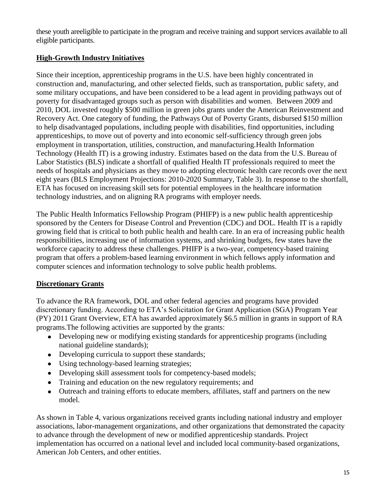<span id="page-14-0"></span>these youth areeligible to participate in the program and receive training and support services available to all eligible participants.

# **High-Growth Industry Initiatives**

Since their inception, apprenticeship programs in the U.S. have been highly concentrated in construction and, manufacturing, and other selected fields, such as transportation, public safety, and some military occupations, and have been considered to be a lead agent in providing pathways out of poverty for disadvantaged groups such as person with disabilities and women. Between 2009 and 2010, DOL invested roughly \$500 million in green jobs grants under the American Reinvestment and Recovery Act. One category of funding, the Pathways Out of Poverty Grants, disbursed \$150 million to help disadvantaged populations, including people with disabilities, find opportunities, including apprenticeships, to move out of poverty and into economic self-sufficiency through green jobs employment in transportation, utilities, construction, and manufacturing.Health Information Technology (Health IT) is a growing industry. Estimates based on the data from the U.S. Bureau of Labor Statistics (BLS) indicate a shortfall of qualified Health IT professionals required to meet the needs of hospitals and physicians as they move to adopting electronic health care records over the next eight years (BLS [Employment Projections: 2010-2020 Summary,](https://www.google.com/url?q=http://bls.gov/news.release/ecopro.nr0.htm&sa=U&ei=EUkpUOz3MuLz0gGuyoCIDA&ved=0CAcQFjAB&client=internal-uds-cse&usg=AFQjCNGMABAjm5_Ue96SuKBUS8J_-Ko8CQ) Table 3). In response to the shortfall, ETA has focused on increasing skill sets for potential employees in the healthcare information technology industries, and on aligning RA programs with employer needs.

The Public Health Informatics Fellowship Program (PHIFP) is a new public health apprenticeship sponsored by the Centers for Disease Control and Prevention (CDC) and DOL. Health IT is a rapidly growing field that is critical to both public health and health care. In an era of increasing public health responsibilities, increasing use of information systems, and shrinking budgets, few states have the workforce capacity to address these challenges. PHIFP is a two-year, competency-based training program that offers a problem-based learning environment in which fellows apply information and computer sciences and information technology to solve public health problems.

# **Discretionary Grants**

To advance the RA framework, DOL and other federal agencies and programs have provided discretionary funding. According to ETA's Solicitation for Grant Application (SGA) Program Year (PY) 2011 Grant Overview, ETA has awarded approximately \$6.5 million in grants in support of RA programs.The following activities are supported by the grants:

- Developing new or modifying existing standards for apprenticeship programs (including national guideline standards);
- Developing curricula to support these standards;
- Using technology-based learning strategies;
- Developing skill assessment tools for competency-based models;
- Training and education on the new regulatory requirements; and
- Outreach and training efforts to educate members, affiliates, staff and partners on the new model.

As shown in Table 4, various organizations received grants including national industry and employer associations, labor-management organizations, and other organizations that demonstrated the capacity to advance through the development of new or modified apprenticeship standards. Project implementation has occurred on a national level and included local community-based organizations, American Job Centers, and other entities.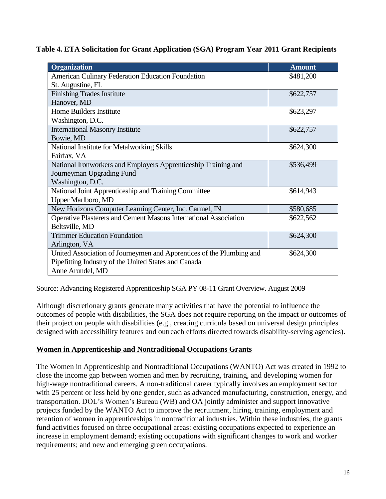<span id="page-15-0"></span>**Table 4. ETA Solicitation for Grant Application (SGA) Program Year 2011 Grant Recipients**

| <b>Organization</b>                                                  | <b>Amount</b> |
|----------------------------------------------------------------------|---------------|
| American Culinary Federation Education Foundation                    | \$481,200     |
| St. Augustine, FL                                                    |               |
| <b>Finishing Trades Institute</b>                                    | \$622,757     |
| Hanover, MD                                                          |               |
| Home Builders Institute                                              | \$623,297     |
| Washington, D.C.                                                     |               |
| <b>International Masonry Institute</b>                               | \$622,757     |
| Bowie, MD                                                            |               |
| National Institute for Metalworking Skills                           | \$624,300     |
| Fairfax, VA                                                          |               |
| National Ironworkers and Employers Apprenticeship Training and       | \$536,499     |
| Journeyman Upgrading Fund                                            |               |
| Washington, D.C.                                                     |               |
| National Joint Apprenticeship and Training Committee                 | \$614,943     |
| <b>Upper Marlboro, MD</b>                                            |               |
| New Horizons Computer Learning Center, Inc. Carmel, IN               | \$580,685     |
| Operative Plasterers and Cement Masons International Association     | \$622,562     |
| Beltsville, MD                                                       |               |
| <b>Trimmer Education Foundation</b>                                  | \$624,300     |
| Arlington, VA                                                        |               |
| United Association of Journeymen and Apprentices of the Plumbing and | \$624,300     |
| Pipefitting Industry of the United States and Canada                 |               |
| Anne Arundel, MD                                                     |               |

Source: Advancing Registered Apprenticeship SGA PY 08-11 Grant Overview. August 2009

Although discretionary grants generate many activities that have the potential to influence the outcomes of people with disabilities, the SGA does not require reporting on the impact or outcomes of their project on people with disabilities (e.g., creating curricula based on universal design principles designed with accessibility features and outreach efforts directed towards disability-serving agencies).

### **Women in Apprenticeship and Nontraditional Occupations Grants**

The Women in Apprenticeship and Nontraditional Occupations (WANTO) Act was created in 1992 to close the income gap between women and men by recruiting, training, and developing women for high-wage nontraditional careers. A non-traditional career typically involves an employment sector with 25 percent or less held by one gender, such as advanced manufacturing, construction, energy, and transportation. DOL's Women's Bureau (WB) and OA jointly administer and support innovative projects funded by the WANTO Act to improve the recruitment, hiring, training, employment and retention of women in apprenticeships in nontraditional industries. Within these industries, the grants fund activities focused on three occupational areas: existing occupations expected to experience an increase in employment demand; existing occupations with significant changes to work and worker requirements; and new and emerging green occupations.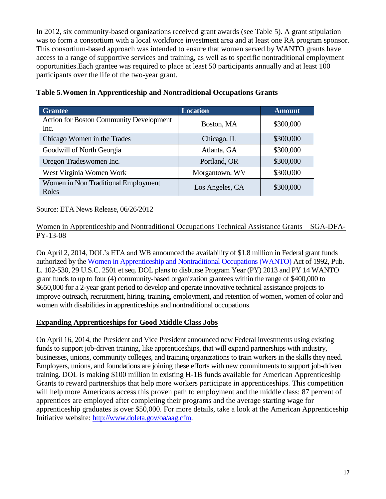<span id="page-16-0"></span>In 2012, six community-based organizations received grant awards (see Table 5). A grant stipulation was to form a consortium with a local workforce investment area and at least one RA program sponsor. This consortium-based approach was intended to ensure that women served by WANTO grants have access to a range of supportive services and training, as well as to specific nontraditional employment opportunities.Each grantee was required to place at least 50 participants annually and at least 100 participants over the life of the two-year grant.

| <b>Grantee</b>                                         | <b>Location</b> | <b>Amount</b> |
|--------------------------------------------------------|-----------------|---------------|
| <b>Action for Boston Community Development</b><br>Inc. | Boston, MA      | \$300,000     |
| Chicago Women in the Trades                            | Chicago, IL     | \$300,000     |
| Goodwill of North Georgia                              | Atlanta, GA     | \$300,000     |
| Oregon Tradeswomen Inc.                                | Portland, OR    | \$300,000     |
| West Virginia Women Work                               | Morgantown, WV  | \$300,000     |
| Women in Non Traditional Employment<br>Roles           | Los Angeles, CA | \$300,000     |

### **Table 5.Women in Apprenticeship and Nontraditional Occupations Grants**

Source: ETA News Release, 06/26/2012

### Women in Apprenticeship and Nontraditional Occupations Technical Assistance Grants – SGA-DFA-PY-13-08

On April 2, 2014, DOL's ETA and WB announced the availability of \$1.8 million in Federal grant funds authorized by the [Women in Apprenticeship and Nontraditional Occupations \(WANTO\)](http://www.doleta.gov/grants/pdf/wanto_SGA-DFA-PY-13-08.pdf) Act of 1992, Pub. L. 102-530, 29 U.S.C. 2501 et seq. DOL plans to disburse Program Year (PY) 2013 and PY 14 WANTO grant funds to up to four (4) community-based organization grantees within the range of \$400,000 to \$650,000 for a 2-year grant period to develop and operate innovative technical assistance projects to improve outreach, recruitment, hiring, training, employment, and retention of women, women of color and women with disabilities in apprenticeships and nontraditional occupations.

# **Expanding Apprenticeships for Good Middle Class Jobs**

On April 16, 2014, the President and Vice President announced new Federal investments using existing funds to support job-driven training, like apprenticeships, that will expand partnerships with industry, businesses, unions, community colleges, and training organizations to train workers in the skills they need. Employers, unions, and foundations are joining these efforts with new commitments to support job-driven training. DOL is making \$100 million in existing H-1B funds available for American Apprenticeship Grants to reward partnerships that help more workers participate in apprenticeships. This competition will help more Americans access this proven path to employment and the middle class: 87 percent of apprentices are employed after completing their programs and the average starting wage for apprenticeship graduates is over \$50,000. For more details, take a look at the American Apprenticeship Initiative website: [http://www.doleta.gov/oa/aag.cfm.](http://www.doleta.gov/oa/aag.cfm)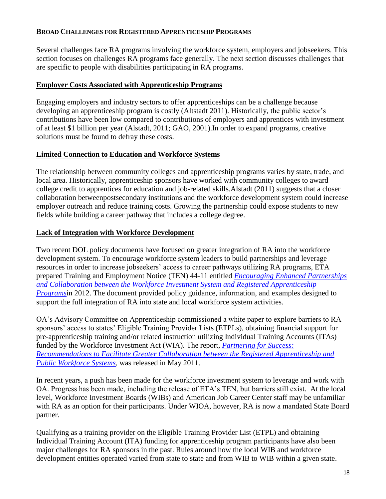#### <span id="page-17-0"></span>**BROAD CHALLENGES FOR REGISTERED APPRENTICESHIP PROGRAMS**

Several challenges face RA programs involving the workforce system, employers and jobseekers. This section focuses on challenges RA programs face generally. The next section discusses challenges that are specific to people with disabilities participating in RA programs.

### **Employer Costs Associated with Apprenticeship Programs**

Engaging employers and industry sectors to offer apprenticeships can be a challenge because developing an apprenticeship program is costly (Altstadt 2011). Historically, the public sector's contributions have been low compared to contributions of employers and apprentices with investment of at least \$1 billion per year (Alstadt, 2011; GAO, 2001).In order to expand programs, creative solutions must be found to defray these costs.

# **Limited Connection to Education and Workforce Systems**

The relationship between community colleges and apprenticeship programs varies by state, trade, and local area. Historically, apprenticeship sponsors have worked with community colleges to award college credit to apprentices for education and job-related skills.Alstadt (2011) suggests that a closer collaboration betweenpostsecondary institutions and the workforce development system could increase employer outreach and reduce training costs. Growing the partnership could expose students to new fields while building a career pathway that includes a college degree.

### **Lack of Integration with Workforce Development**

Two recent DOL policy documents have focused on greater integration of RA into the workforce development system. To encourage workforce system leaders to build partnerships and leverage resources in order to increase jobseekers' access to career pathways utilizing RA programs, ETA prepared Training and Employment Notice (TEN) 44-11 entitled *[Encouraging Enhanced Partnerships](http://wdr.doleta.gov/directives/corr_doc.cfm?docn=4843)  [and Collaboration between the Workforce Investment System and Registered Apprenticeship](http://wdr.doleta.gov/directives/corr_doc.cfm?docn=4843)  [Programs](http://wdr.doleta.gov/directives/corr_doc.cfm?docn=4843)*in 2012. The document provided policy guidance, information, and examples designed to support the full integration of RA into state and local workforce system activities.

OA's Advisory Committee on Apprenticeship commissioned a white paper to explore barriers to RA sponsors' access to states' Eligible Training Provider Lists (ETPLs), obtaining financial support for pre-apprenticeship training and/or related instruction utilizing Individual Training Accounts (ITAs) funded by the Workforce Investment Act (WIA). The report, *[Partnering for Success:](http://wdr.doleta.gov/directives/attach/TEN/ten2011/ten44-11aA.pdf)  [Recommendations to Facilitate Greater Collaboration between the Registered Apprenticeship and](http://wdr.doleta.gov/directives/attach/TEN/ten2011/ten44-11aA.pdf)  [Public Workforce Systems,](http://wdr.doleta.gov/directives/attach/TEN/ten2011/ten44-11aA.pdf)* was released in May 2011.

In recent years, a push has been made for the workforce investment system to leverage and work with OA. Progress has been made, including the release of ETA's TEN, but barriers still exist. At the local level, Workforce Investment Boards (WIBs) and American Job Career Center staff may be unfamiliar with RA as an option for their participants. Under WIOA, however, RA is now a mandated State Board partner.

Qualifying as a training provider on the Eligible Training Provider List (ETPL) and obtaining Individual Training Account (ITA) funding for apprenticeship program participants have also been major challenges for RA sponsors in the past. Rules around how the local WIB and workforce development entities operated varied from state to state and from WIB to WIB within a given state.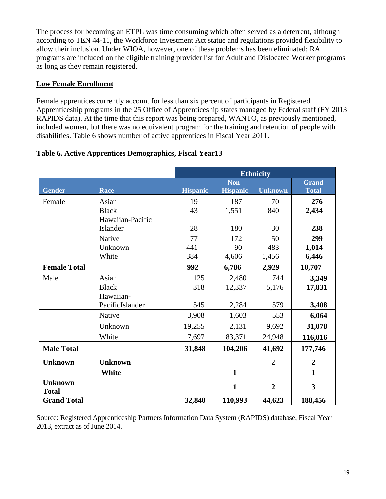<span id="page-18-0"></span>The process for becoming an ETPL was time consuming which often served as a deterrent, although according to [TEN 44-11,](http://beta.samhsa.gov/health-reform/financing-research-data/aeb-series-behavioral-health-services) the Workforce Investment Act statue and regulations provided flexibility to allow their inclusion. Under WIOA, however, one of these problems has been eliminated; RA programs are included on the eligible training provider list for Adult and Dislocated Worker programs as long as they remain registered.

### **Low Female Enrollment**

Female apprentices currently account for less than six percent of participants in Registered Apprenticeship programs in the 25 Office of Apprenticeship states managed by Federal staff (FY 2013 RAPIDS data). At the time that this report was being prepared, WANTO, as previously mentioned, included women, but there was no equivalent program for the training and retention of people with disabilities. Table 6 shows number of active apprentices in Fiscal Year 2011.

|                                |                              | <b>Ethnicity</b> |                         |                |                              |
|--------------------------------|------------------------------|------------------|-------------------------|----------------|------------------------------|
| <b>Gender</b>                  | Race                         | <b>Hispanic</b>  | Non-<br><b>Hispanic</b> | <b>Unknown</b> | <b>Grand</b><br><b>Total</b> |
| Female                         | Asian                        | 19               | 187                     | 70             | 276                          |
|                                | <b>Black</b>                 | 43               | 1,551                   | 840            | 2,434                        |
|                                | Hawaiian-Pacific<br>Islander | 28               | 180                     | 30             | 238                          |
|                                | Native                       | 77               | 172                     | 50             | 299                          |
|                                | Unknown                      | 441              | 90                      | 483            | 1,014                        |
|                                | White                        | 384              | 4,606                   | 1,456          | 6,446                        |
| <b>Female Total</b>            |                              | 992              | 6,786                   | 2,929          | 10,707                       |
| Male                           | Asian                        | 125              | 2,480                   | 744            | 3,349                        |
|                                | <b>Black</b>                 | 318              | 12,337                  | 5,176          | 17,831                       |
|                                | Hawaiian-<br>PacificIslander | 545              | 2,284                   | 579            | 3,408                        |
|                                | Native                       | 3,908            | 1,603                   | 553            | 6,064                        |
|                                | Unknown                      | 19,255           | 2,131                   | 9,692          | 31,078                       |
|                                | White                        | 7,697            | 83,371                  | 24,948         | 116,016                      |
| <b>Male Total</b>              |                              | 31,848           | 104,206                 | 41,692         | 177,746                      |
| <b>Unknown</b>                 | <b>Unknown</b>               |                  |                         | $\overline{2}$ | $\boldsymbol{2}$             |
|                                | White                        |                  | $\mathbf{1}$            |                | $\mathbf{1}$                 |
| <b>Unknown</b><br><b>Total</b> |                              |                  | $\mathbf{1}$            | $\overline{2}$ | 3                            |
| <b>Grand Total</b>             |                              | 32,840           | 110,993                 | 44,623         | 188,456                      |

### **Table 6. Active Apprentices Demographics, Fiscal Year13**

Source: Registered Apprenticeship Partners Information Data System (RAPIDS) database, Fiscal Year 2013, extract as of June 2014.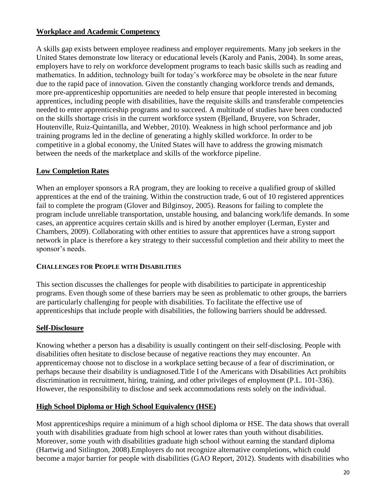### <span id="page-19-0"></span>**Workplace and Academic Competency**

A skills gap exists between employee readiness and employer requirements. Many job seekers in the United States demonstrate low literacy or educational levels (Karoly and Panis, 2004). In some areas, employers have to rely on workforce development programs to teach basic skills such as reading and mathematics. In addition, technology built for today's workforce may be obsolete in the near future due to the rapid pace of innovation. Given the constantly changing workforce trends and demands, more pre-apprenticeship opportunities are needed to help ensure that people interested in becoming apprentices, including people with disabilities, have the requisite skills and transferable competencies needed to enter apprenticeship programs and to succeed. A multitude of studies have been conducted on the skills shortage crisis in the current workforce system (Bjelland, Bruyere, von Schrader, Houtenville, Ruiz-Quintanilla, and Webber, 2010). Weakness in high school performance and job training programs led in the decline of generating a highly skilled workforce. In order to be competitive in a global economy, the United States will have to address the growing mismatch between the needs of the marketplace and skills of the workforce pipeline.

# **Low Completion Rates**

When an employer sponsors a RA program, they are looking to receive a qualified group of skilled apprentices at the end of the training. Within the construction trade, 6 out of 10 registered apprentices fail to complete the program (Glover and Bilginsoy, 2005). Reasons for failing to complete the program include unreliable transportation, unstable housing, and balancing work/life demands. In some cases, an apprentice acquires certain skills and is hired by another employer (Lerman, Eyster and Chambers, 2009). Collaborating with other entities to assure that apprentices have a strong support network in place is therefore a key strategy to their successful completion and their ability to meet the sponsor's needs.

### **CHALLENGES FOR PEOPLE WITH DISABILITIES**

This section discusses the challenges for people with disabilities to participate in apprenticeship programs. Even though some of these barriers may be seen as problematic to other groups, the barriers are particularly challenging for people with disabilities. To facilitate the effective use of apprenticeships that include people with disabilities, the following barriers should be addressed.

### **Self-Disclosure**

Knowing whether a person has a disability is usually contingent on their self-disclosing. People with disabilities often hesitate to disclose because of negative reactions they may encounter. An apprenticemay choose not to disclose in a workplace setting because of a fear of discrimination, or perhaps because their disability is undiagnosed.Title I of the Americans with Disabilities Act prohibits discrimination in recruitment, hiring, training, and other privileges of employment (P.L. 101-336). However, the responsibility to disclose and seek accommodations rests solely on the individual.

# **High School Diploma or High School Equivalency (HSE)**

Most apprenticeships require a minimum of a high school diploma or HSE. The data shows that overall youth with disabilities graduate from high school at lower rates than youth without disabilities. Moreover, some youth with disabilities graduate high school without earning the standard diploma (Hartwig and Sitlington, 2008).Employers do not recognize alternative completions, which could become a major barrier for people with disabilities (GAO Report, 2012). Students with disabilities who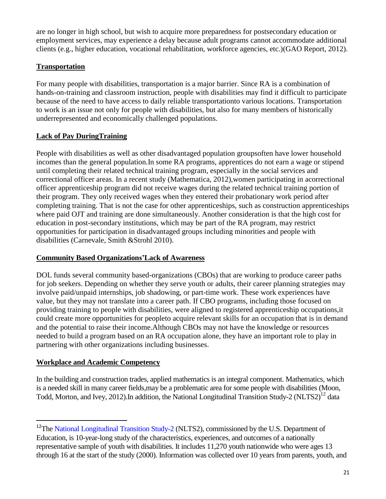<span id="page-20-0"></span>are no longer in high school, but wish to acquire more preparedness for postsecondary education or employment services, may experience a delay because adult programs cannot accommodate additional clients (e.g., higher education, vocational rehabilitation, workforce agencies, etc.)(GAO Report, 2012).

# **Transportation**

For many people with disabilities, transportation is a major barrier. Since RA is a combination of hands-on-training and classroom instruction, people with disabilities may find it difficult to participate because of the need to have access to daily reliable transportationto various locations. Transportation to work is an issue not only for people with disabilities, but also for many members of historically underrepresented and economically challenged populations.

# **Lack of Pay DuringTraining**

People with disabilities as well as other disadvantaged population groupsoften have lower household incomes than the general population.In some RA programs, apprentices do not earn a wage or stipend until completing their related technical training program, especially in the social services and correctional officer areas. In a recent study (Mathematica, 2012),women participating in acorrectional officer apprenticeship program did not receive wages during the related technical training portion of their program. They only received wages when they entered their probationary work period after completing training. That is not the case for other apprenticeships, such as construction apprenticeships where paid OJT and training are done simultaneously. Another consideration is that the high cost for education in post-secondary institutions, which may be part of the RA program, may restrict opportunities for participation in disadvantaged groups including minorities and people with disabilities (Carnevale, Smith &Strohl 2010).

### **Community Based Organizations'Lack of Awareness**

DOL funds several community based-organizations (CBOs) that are working to produce career paths for job seekers. Depending on whether they serve youth or adults, their career planning strategies may involve paid/unpaid internships, job shadowing, or part-time work. These work experiences have value, but they may not translate into a career path. If CBO programs, including those focused on providing training to people with disabilities, were aligned to registered apprenticeship occupations,it could create more opportunities for peopleto acquire relevant skills for an occupation that is in demand and the potential to raise their income.Although CBOs may not have the knowledge or resources needed to build a program based on an RA occupation alone, they have an important role to play in partnering with other organizations including businesses.

### **Workplace and Academic Competency**

 $\overline{a}$ 

In the building and construction trades, applied mathematics is an integral component. Mathematics, which is a needed skill in many career fields,may be a problematic area for some people with disabilities (Moon, Todd, Morton, and Ivey, 2012). In addition, the National Longitudinal Transition Study-2 (NLTS2)<sup>12</sup> data

<sup>&</sup>lt;sup>12</sup>The [National Longitudinal Transition Study-2](http://nlts2.org/index.html) (NLTS2), commissioned by the U.S. Department of Education, is 10-year-long study of the characteristics, experiences, and outcomes of a nationally representative sample of youth with disabilities. It includes 11,270 youth nationwide who were ages 13 through 16 at the start of the study (2000). Information was collected over 10 years from parents, youth, and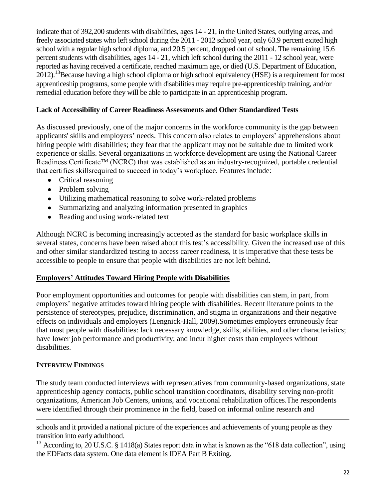<span id="page-21-0"></span>indicate that of 392,200 students with disabilities, ages 14 - 21, in the United States, outlying areas, and freely associated states who left school during the 2011 - 2012 school year, only 63.9 percent exited high school with a regular high school diploma, and 20.5 percent, dropped out of school. The remaining 15.6 percent students with disabilities, ages 14 - 21, which left school during the 2011 - 12 school year, were reported as having received a certificate, reached maximum age, or died (U.S. Department of Education, 2012).<sup>13</sup>Because having a high school diploma or high school equivalency (HSE) is a requirement for most apprenticeship programs, some people with disabilities may require pre-apprenticeship training, and/or remedial education before they will be able to participate in an apprenticeship program.

#### **Lack of Accessibility of Career Readiness Assessments and Other Standardized Tests**

As discussed previously, one of the major concerns in the workforce community is the gap between applicants' skills and employers' needs. This concern also relates to employers' apprehensions about hiring people with disabilities; they fear that the applicant may not be suitable due to limited work experience or skills. Several organizations in workforce development are using the National Career Readiness Certificate™ (NCRC) that was established as an industry-recognized, portable credential that certifies skillsrequired to succeed in today's workplace. Features include:

- Critical reasoning
- Problem solving
- Utilizing mathematical reasoning to solve work-related problems
- Summarizing and analyzing information presented in graphics
- Reading and using work-related text

Although NCRC is becoming increasingly accepted as the standard for basic workplace skills in several states, concerns have been raised about this test's accessibility. Given the increased use of this and other similar standardized testing to access career readiness, it is imperative that these tests be accessible to people to ensure that people with disabilities are not left behind.

### **Employers' Attitudes Toward Hiring People with Disabilities**

Poor employment opportunities and outcomes for people with disabilities can stem, in part, from employers' negative attitudes toward hiring people with disabilities. Recent literature points to the persistence of stereotypes, prejudice, discrimination, and stigma in organizations and their negative effects on individuals and employers (Lengnick-Hall, 2009).Sometimes employers erroneously fear that most people with disabilities: lack necessary knowledge, skills, abilities, and other characteristics; have lower job performance and productivity; and incur higher costs than employees without disabilities.

### **INTERVIEW FINDINGS**

 $\overline{a}$ 

The study team conducted interviews with representatives from community-based organizations, state apprenticeship agency contacts, public school transition coordinators, disability serving non-profit organizations, American Job Centers, unions, and vocational rehabilitation offices.The respondents were identified through their prominence in the field, based on informal online research and

schools and it provided a national picture of the experiences and achievements of young people as they transition into early adulthood.

<sup>13</sup> According to, 20 U.S.C. § 1418(a) States report data in what is known as the "618 data collection", using the EDFacts data system. One data element is IDEA Part B Exiting.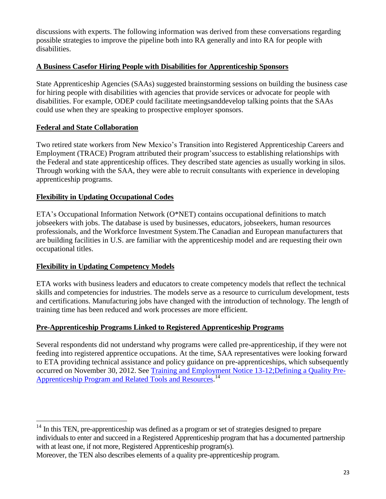<span id="page-22-0"></span>discussions with experts. The following information was derived from these conversations regarding possible strategies to improve the pipeline both into RA generally and into RA for people with disabilities.

### **A Business Casefor Hiring People with Disabilities for Apprenticeship Sponsors**

State Apprenticeship Agencies (SAAs) suggested brainstorming sessions on building the business case for hiring people with disabilities with agencies that provide services or advocate for people with disabilities. For example, ODEP could facilitate meetingsanddevelop talking points that the SAAs could use when they are speaking to prospective employer sponsors.

# **Federal and State Collaboration**

Two retired state workers from New Mexico's Transition into Registered Apprenticeship Careers and Employment (TRACE) Program attributed their program'ssuccess to establishing relationships with the Federal and state apprenticeship offices. They described state agencies as usually working in silos. Through working with the SAA, they were able to recruit consultants with experience in developing apprenticeship programs.

### **Flexibility in Updating Occupational Codes**

ETA's Occupational Information Network (O\*NET) contains occupational definitions to match jobseekers with jobs. The database is used by businesses, educators, jobseekers, human resources professionals, and the Workforce Investment System.The Canadian and European manufacturers that are building facilities in U.S. are familiar with the apprenticeship model and are requesting their own occupational titles.

### **Flexibility in Updating Competency Models**

ETA works with business leaders and educators to create competency models that reflect the technical skills and competencies for industries. The models serve as a resource to curriculum development, tests and certifications. Manufacturing jobs have changed with the introduction of technology. The length of training time has been reduced and work processes are more efficient.

### **Pre-Apprenticeship Programs Linked to Registered Apprenticeship Programs**

Several respondents did not understand why programs were called pre-apprenticeship, if they were not feeding into registered apprentice occupations. At the time, SAA representatives were looking forward to ETA providing technical assistance and policy guidance on pre-apprenticeships, which subsequently occurred on November 30, 2012. See [Training and Employment Notice 13-12;Defining a Quality Pre](http://wdr.doleta.gov/directives/attach/TEN/TEN_13-12_Acc.pdf)Apprenticeship Program [and Related Tools and Resources.](http://wdr.doleta.gov/directives/attach/TEN/TEN_13-12_Acc.pdf)<sup>14</sup>

 $\overline{a}$  $14$  In this TEN, pre-apprenticeship was defined as a program or set of strategies designed to prepare individuals to enter and succeed in a Registered Apprenticeship program that has a documented partnership with at least one, if not more, Registered Apprenticeship program(s).

Moreover, the TEN also describes elements of a quality pre-apprenticeship program.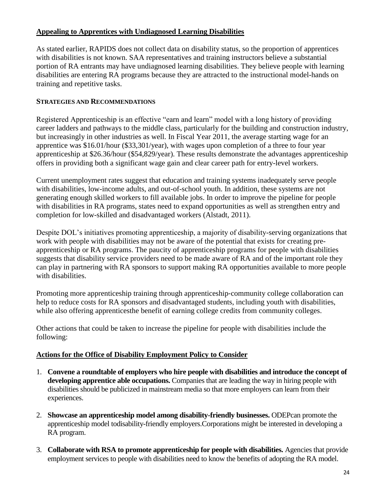### <span id="page-23-0"></span>**Appealing to Apprentices with Undiagnosed Learning Disabilities**

As stated earlier, RAPIDS does not collect data on disability status, so the proportion of apprentices with disabilities is not known. SAA representatives and training instructors believe a substantial portion of RA entrants may have undiagnosed learning disabilities. They believe people with learning disabilities are entering RA programs because they are attracted to the instructional model-hands on training and repetitive tasks.

### **STRATEGIES AND RECOMMENDATIONS**

Registered Apprenticeship is an effective "earn and learn" model with a long history of providing career ladders and pathways to the middle class, particularly for the building and construction industry, but increasingly in other industries as well. In Fiscal Year 2011, the average starting wage for an apprentice was \$16.01/hour (\$33,301/year), with wages upon completion of a three to four year apprenticeship at \$26.36/hour (\$54,829/year). These results demonstrate the advantages apprenticeship offers in providing both a significant wage gain and clear career path for entry-level workers.

Current unemployment rates suggest that education and training systems inadequately serve people with disabilities, low-income adults, and out-of-school youth. In addition, these systems are not generating enough skilled workers to fill available jobs. In order to improve the pipeline for people with disabilities in RA programs, states need to expand opportunities as well as strengthen entry and completion for low-skilled and disadvantaged workers (Alstadt, 2011).

Despite DOL's initiatives promoting apprenticeship, a majority of disability-serving organizations that work with people with disabilities may not be aware of the potential that exists for creating preapprenticeship or RA programs. The paucity of apprenticeship programs for people with disabilities suggests that disability service providers need to be made aware of RA and of the important role they can play in partnering with RA sponsors to support making RA opportunities available to more people with disabilities.

Promoting more apprenticeship training through apprenticeship‐community college collaboration can help to reduce costs for RA sponsors and disadvantaged students, including youth with disabilities, while also offering apprenticesthe benefit of earning college credits from community colleges.

Other actions that could be taken to increase the pipeline for people with disabilities include the following:

### **Actions for the Office of Disability Employment Policy to Consider**

- 1. **Convene a roundtable of employers who hire people with disabilities and introduce the concept of developing apprentice able occupations.** Companies that are leading the way in hiring people with disabilities should be publicized in mainstream media so that more employers can learn from their experiences.
- 2. **Showcase an apprenticeship model among disability-friendly businesses.** ODEPcan promote the apprenticeship model todisability-friendly employers.Corporations might be interested in developing a RA program.
- 3. **Collaborate with RSA to promote apprenticeship for people with disabilities.** Agencies that provide employment services to people with disabilities need to know the benefits of adopting the RA model.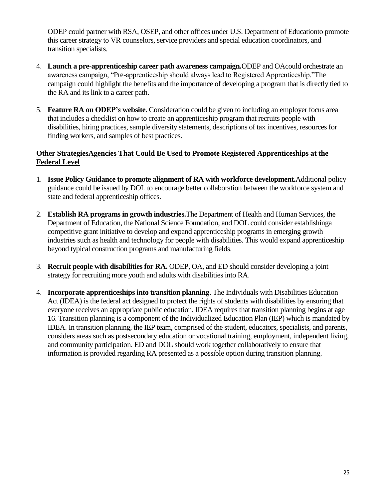<span id="page-24-0"></span>ODEP could partner with RSA, OSEP, and other offices under U.S. Department of Educationto promote this career strategy to VR counselors, service providers and special education coordinators, and transition specialists.

- 4. **Launch a pre-apprenticeship career path awareness campaign.**ODEP and OAcould orchestrate an awareness campaign, "Pre-apprenticeship should always lead to Registered Apprenticeship."The campaign could highlight the benefits and the importance of developing a program that is directly tied to the RA and its link to a career path.
- 5. **Feature RA on ODEP's website.** Consideration could be given to including an employer focus area that includes a checklist on how to create an apprenticeship program that recruits people with disabilities, hiring practices, sample diversity statements, descriptions of tax incentives, resources for finding workers, and samples of best practices.

### **Other StrategiesAgencies That Could Be Used to Promote Registered Apprenticeships at the Federal Level**

- 1. **Issue Policy Guidance to promote alignment of RA with workforce development.**Additional policy guidance could be issued by DOL to encourage better collaboration between the workforce system and state and federal apprenticeship offices.
- 2. **Establish RA programs in growth industries.**The Department of Health and Human Services, the Department of Education, the National Science Foundation, and DOL could consider establishinga competitive grant initiative to develop and expand apprenticeship programs in emerging growth industries such as health and technology for people with disabilities. This would expand apprenticeship beyond typical construction programs and manufacturing fields.
- 3. **Recruit people with disabilities for RA.** ODEP, OA, and ED should consider developing a joint strategy for recruiting more youth and adults with disabilities into RA.
- 4. **Incorporate apprenticeships into transition planning**. The Individuals with Disabilities Education Act (IDEA) is the federal act designed to protect the rights of students with disabilities by ensuring that everyone receives an appropriate public education. IDEA requires that transition planning begins at age 16. Transition planning is a component of the Individualized Education Plan (IEP) which is mandated by IDEA. In transition planning, the IEP team, comprised of the student, educators, specialists, and parents, considers areas such as postsecondary education or vocational training, employment, independent living, and community participation. ED and DOL should work together collaboratively to ensure that information is provided regarding RA presented as a possible option during transition planning.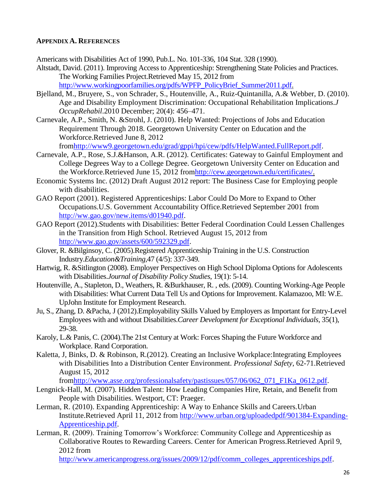#### <span id="page-25-0"></span>**APPENDIX A. REFERENCES**

Americans with Disabilities Act of 1990, Pub.L. No. 101-336, 104 Stat. 328 (1990).

- Altstadt, David. (2011). Improving Access to Apprenticeship: Strengthening State Policies and Practices. The Working Families Project.Retrieved May 15, 2012 from [http://www.workingpoorfamilies.org/pdfs/WPFP\\_PolicyBrief\\_Summer2011.pdf.](http://www.workingpoorfamilies.org/pdfs/WPFP_PolicyBrief_Summer2011.pdf)
- Bjelland, M., Bruyere, S., von Schrader, S., Houtenville, A., Ruiz-Quintanilla, A.& Webber, D. (2010). Age and Disability Employment Discrimination: Occupational Rehabilitation Implications.*J OccupRehabil*.2010 December; 20(4): 456–471.
- Carnevale, A.P., Smith, N. &Strohl, J. (2010). Help Wanted: Projections of Jobs and Education Requirement Through 2018. Georgetown University Center on Education and the Workforce.Retrieved June 8, 2012

fro[mhttp://www9.georgetown.edu/grad/gppi/hpi/cew/pdfs/HelpWanted.FullReport.pdf.](http://www9.georgetown.edu/grad/gppi/hpi/cew/pdfs/HelpWanted.FullReport.pdf)

- Carnevale, A.P., Rose, S.J.&Hanson, A.R. (2012). Certificates: Gateway to Gainful Employment and College Degrees Way to a College Degree. Georgetown University Center on Education and the Workforce.Retrieved June 15, 2012 fro[mhttp://cew.georgetown.edu/certificates/.](http://cew.georgetown.edu/certificates/)
- Economic Systems Inc. (2012) Draft August 2012 report: The Business Case for Employing people with disabilities.
- GAO Report (2001). Registered Apprenticeships: Labor Could Do More to Expand to Other Occupations.U.S. Government Accountability Office.Retrieved September 2001 from [http://ww.gao.gov/new.items/d01940.pdf.](http://ww.gao.gov/new.items/d01940.pdf)
- GAO Report (2012).Students with Disabilities: Better Federal Coordination Could Lessen Challenges in the Transition from High School. Retrieved August 15, 2012 from [http://www.gao.gov/assets/600/592329.pdf.](http://www.gao.gov/assets/600/592329.pdf)
- Glover, R. &Bilginsoy, C. (2005).Registered Apprenticeship Training in the U.S. Construction Industry.*Education&Training,*47 (4/5): 337-349.
- Hartwig, R. &Sitlington (2008). Employer Perspectives on High School Diploma Options for Adolescents with Disabilities.*Journal of Disability Policy Studies*, 19(1): 5-14.
- Houtenville, A., Stapleton, D., Weathers, R. &Burkhauser, R. , eds. (2009). Counting Working-Age People with Disabilities: What Current Data Tell Us and Options for Improvement. Kalamazoo, MI: W.E. UpJohn Institute for Employment Research.
- Ju, S., Zhang, D. &Pacha, J (2012).Employability Skills Valued by Employers as Important for Entry-Level Employees with and without Disabilities.*Career Development for Exceptional Individuals*, 35(1), 29-38.
- Karoly, L.& Panis, C. (2004).The 21st Century at Work: Forces Shaping the Future Workforce and Workplace. Rand Corporation.
- Kaletta, J, Binks, D. & Robinson, R.(2012). Creating an Inclusive Workplace:Integrating Employees with Disabilities Into a Distribution Center Environment. *Professional Safety*, 62-71.Retrieved August 15, 2012

fro[mhttp://www.asse.org/professionalsafety/pastissues/057/06/062\\_071\\_F1Ka\\_0612.pdf.](http://www.asse.org/professionalsafety/pastissues/057/06/062_071_F1Ka_0612.pdf)

- Lengnick-Hall, M. (2007). Hidden Talent: How Leading Companies Hire, Retain, and Benefit from People with Disabilities. Westport, CT: Praeger.
- Lerman, R. (2010). Expanding Apprenticeship: A Way to Enhance Skills and Careers.Urban Institute.Retrieved April 11, 2012 from [http://www.urban.org/uploadedpdf/901384-Expanding-](http://www.urban.org/uploadedpdf/901384-Expanding-Apprenticeship.pdf)[Apprenticeship.pdf.](http://www.urban.org/uploadedpdf/901384-Expanding-Apprenticeship.pdf)
- Lerman, R. (2009). Training Tomorrow's Workforce: Community College and Apprenticeship as Collaborative Routes to Rewarding Careers. Center for American Progress.Retrieved April 9, 2012 from

[http://www.americanprogress.org/issues/2009/12/pdf/comm\\_colleges\\_apprenticeships.pdf.](http://www.americanprogress.org/issues/2009/12/pdf/comm_colleges_apprenticeships.pdf)